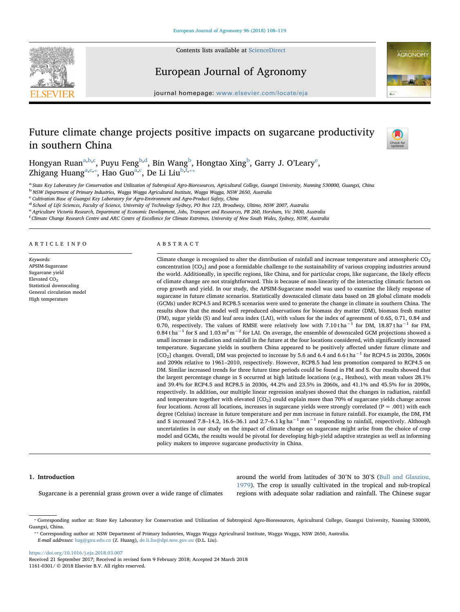

Contents lists available at [ScienceDirect](http://www.sciencedirect.com/science/journal/11610301)

European Journal of Agronomy



journal homepage: [www.elsevier.com/locate/eja](https://www.elsevier.com/locate/eja)

# Future climate change projects positive impacts on sugarcane productivity in southern China



Hongy[a](#page-0-0)n Ruan $^{\mathrm{a,b,c}},$  $^{\mathrm{a,b,c}},$  $^{\mathrm{a,b,c}},$  $^{\mathrm{a,b,c}},$  Puyu F[e](#page-0-4)ng $^{\mathrm{b,d}},$  $^{\mathrm{b,d}},$  $^{\mathrm{b,d}},$  Bin Wang $^{\mathrm{b}},$  Hongtao Xing $^{\mathrm{b}},$  Garry J. O'Leary $^{\mathrm{e}},$ Zhigang Huang<sup>[a,](#page-0-0)[c,](#page-0-2)\*</sup>, Hao Guo<sup>a,[c](#page-0-2)</sup>, De Li Liu<sup>[b,](#page-0-1)[f,](#page-0-6)\*\*</sup>

<span id="page-0-0"></span>a State Key Laboratory for Conservation and Utilization of Subtropical Agro-Bioresources, Agricultural College, Guangxi University, Nanning 530000, Guangxi, China

<span id="page-0-1"></span><sup>b</sup> NSW Department of Primary Industries, Wagga Wagga Agricultural Institute, Wagga Wagga, NSW 2650, Australia

<span id="page-0-2"></span>c Cultivation Base of Guangxi Key Laboratory for Agro-Environment and Agro-Product Safety, China

<span id="page-0-3"></span><sup>d</sup> School of Life Sciences, Faculty of Science, University of Technology Sydney, PO Box 123, Broadway, Ultimo, NSW 2007, Australia

<span id="page-0-4"></span>e Agriculture Victoria Research, Department of Economic Development, Jobs, Transport and Resources, PB 260, Horsham, Vic 3400, Australia

<span id="page-0-6"></span>f Climate Change Research Centre and ARC Centre of Excellence for Climate Extremes, University of New South Wales, Sydney, NSW, Australia

#### ARTICLE INFO

Keywords: APSIM-Sugarcane Sugarcane yield Elevated CO<sub>2</sub> Statistical downscaling General circulation model High temperature

#### ABSTRACT

Climate change is recognised to alter the distribution of rainfall and increase temperature and atmospheric  $CO<sub>2</sub>$ concentration [CO2] and pose a formidable challenge to the sustainability of various cropping industries around the world. Additionally, in specific regions, like China, and for particular crops, like sugarcane, the likely effects of climate change are not straightforward. This is because of non-linearity of the interacting climatic factors on crop growth and yield. In our study, the APSIM-Sugarcane model was used to examine the likely response of sugarcane in future climate scenarios. Statistically downscaled climate data based on 28 global climate models (GCMs) under RCP4.5 and RCP8.5 scenarios were used to generate the change in climate in southern China. The results show that the model well reproduced observations for biomass dry matter (DM), biomass fresh matter (FM), sugar yields (S) and leaf area index (LAI), with values for the index of agreement of 0.65, 0.71, 0.84 and 0.70, respectively. The values of RMSE were relatively low with 7.10 t ha<sup>-1</sup> for DM, 18.87 t ha<sup>-1</sup> for FM, 0.84 t ha−<sup>1</sup> for S and 1.03 m2 m−<sup>2</sup> for LAI. On average, the ensemble of downscaled GCM projections showed a small increase in radiation and rainfall in the future at the four locations considered, with significantly increased temperature. Sugarcane yields in southern China appeared to be positively affected under future climate and [CO<sub>2</sub>] changes. Overall, DM was projected to increase by 5.6 and 6.4 and 6.6 t ha<sup>−1</sup> for RCP4.5 in 2030s, 2060s and 2090s relative to 1961–2010, respectively. However, RCP8.5 had less promotion compared to RCP4.5 on DM. Similar increased trends for three future time periods could be found in FM and S. Our results showed that the largest percentage change in S occurred at high latitude locations (e.g., Hezhou), with mean values 28.1% and 39.4% for RCP4.5 and RCP8.5 in 2030s, 44.2% and 23.5% in 2060s, and 41.1% and 45.5% for in 2090s, respectively. In addition, our multiple linear regression analyses showed that the changes in radiation, rainfall and temperature together with elevated [CO<sub>2</sub>] could explain more than 70% of sugarcane yields change across four locations. Across all locations, increases in sugarcane yields were strongly correlated ( $P = .001$ ) with each degree (Celsius) increase in future temperature and per mm increase in future rainfall. For example, the DM, FM and S increased 7.8–14.2, 16.6–36.1 and 2.7–6.1 kg ha<sup>-1</sup> mm<sup>-1</sup> responding to rainfall, respectively. Although uncertainties in our study on the impact of climate change on sugarcane might arise from the choice of crop model and GCMs, the results would be pivotal for developing high-yield adaptive strategies as well as informing policy makers to improve sugarcane productivity in China.

### 1. Introduction

Sugarcane is a perennial grass grown over a wide range of climates

around the world from latitudes of 30°N to 30°S [\(Bull and Glasziou,](#page--1-0) [1979\)](#page--1-0). The crop is usually cultivated in the tropical and sub-tropical regions with adequate solar radiation and rainfall. The Chinese sugar

<span id="page-0-7"></span>E-mail addresses: [hzg@gxu.edu.cn](mailto:hzg@gxu.edu.cn) (Z. Huang), [de.li.liu@dpi.nsw.gov.au](mailto:de.li.liu@dpi.nsw.gov.au) (D.L. Liu).

<https://doi.org/10.1016/j.eja.2018.03.007>

Received 21 September 2017; Received in revised form 9 February 2018; Accepted 24 March 2018 1161-0301/ © 2018 Elsevier B.V. All rights reserved.

<span id="page-0-5"></span><sup>⁎</sup> Corresponding author at: State Key Laboratory for Conservation and Utilization of Subtropical Agro-Bioresources, Agricultural College, Guangxi University, Nanning 530000, Guangxi, China. ⁎⁎ Corresponding author at: NSW Department of Primary Industries, Wagga Wagga Agricultural Institute, Wagga Wagga, NSW 2650, Australia.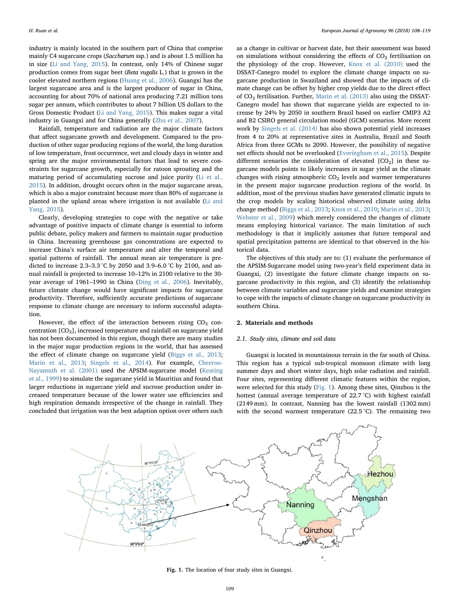industry is mainly located in the southern part of China that comprise mainly C4 sugarcane crops (Saccharum ssp.) and is about 1.5 million ha in size ([Li and Yang, 2015](#page--1-1)). In contrast, only 14% of Chinese sugar production comes from sugar beet (Beta vugalis L.) that is grown in the cooler elevated northern regions [\(Huang et al., 2006\)](#page--1-2). Guangxi has the largest sugarcane area and is the largest producer of sugar in China, accounting for about 70% of national area producing 7.21 million tons sugar per annum, which contributes to about 7 billion US dollars to the Gross Domestic Product [\(Li and Yang, 2015\)](#page--1-1). This makes sugar a vital industry in Guangxi and for China generally ([Zhu et al., 2007](#page--1-3)).

Rainfall, temperature and radiation are the major climate factors that affect sugarcane growth and development. Compared to the production of other sugar producing regions of the world, the long duration of low temperature, frost occurrence, wet and cloudy days in winter and spring are the major environmental factors that lead to severe constraints for sugarcane growth, especially for ratoon sprouting and the maturing period of accumulating sucrose and juice purity [\(Li et al.,](#page--1-4) [2015\)](#page--1-4). In addition, drought occurs often in the major sugarcane areas, which is also a major constraint because more than 80% of sugarcane is planted in the upland areas where irrigation is not available ([Li and](#page--1-1) [Yang, 2015](#page--1-1)).

Clearly, developing strategies to cope with the negative or take advantage of positive impacts of climate change is essential to inform public debate, policy makers and farmers to maintain sugar production in China. Increasing greenhouse gas concentrations are expected to increase China's surface air temperature and alter the temporal and spatial patterns of rainfall. The annual mean air temperature is predicted to increase 2.3–3.3 °C by 2050 and 3.9–6.0 °C by 2100, and annual rainfall is projected to increase 10–12% in 2100 relative to the 30 year average of 1961–1990 in China [\(Ding et al., 2006](#page--1-5)). Inevitably, future climate change would have significant impacts for sugarcane productivity. Therefore, sufficiently accurate predictions of sugarcane response to climate change are necessary to inform successful adaptation.

However, the effect of the interaction between rising  $CO<sub>2</sub>$  concentration  $[CO<sub>2</sub>]$ , increased temperature and rainfall on sugarcane yield has not been documented in this region, though there are many studies in the major sugar production regions in the world, that has assessed the effect of climate change on sugarcane yield ([Biggs et al., 2013](#page--1-6); [Marin et al., 2013;](#page--1-7) [Singels et al., 2014\)](#page--1-8). For example, [Cheeroo-](#page--1-9)[Nayamuth et al. \(2001\)](#page--1-9) used the APSIM-sugarcane model ([Keating](#page--1-10) [et al., 1999\)](#page--1-10) to simulate the sugarcane yield in Mauritius and found that larger reductions in sugarcane yield and sucrose production under increased temperature because of the lower water use efficiencies and high respiration demands irrespective of the change in rainfall. They concluded that irrigation was the best adaption option over others such

as a change in cultivar or harvest date, but their assessment was based on simulations without considering the effects of  $CO<sub>2</sub>$  fertilisation on the physiology of the crop. However, [Knox et al. \(2010\)](#page--1-11) used the DSSAT-Canegro model to explore the climate change impacts on sugarcane production in Swaziland and showed that the impacts of climate change can be offset by higher crop yields due to the direct effect of  $CO<sub>2</sub>$  fertilisation. Further, [Marin et al. \(2013\)](#page--1-7) also using the DSSAT-Canegro model has shown that sugarcane yields are expected to increase by 24% by 2050 in southern Brazil based on earlier CMIP3 A2 and B2 CSIRO general circulation model (GCM) scenarios. More recent work by [Singels et al. \(2014\)](#page--1-8) has also shown potential yield increases from 4 to 20% at representative sites in Australia, Brazil and South Africa from three GCMs to 2090. However, the possibility of negative net effects should not be overlooked [\(Everingham et al., 2015](#page--1-12)). Despite different scenarios the consideration of elevated  $[CO<sub>2</sub>]$  in these sugarcane models points to likely increases in sugar yield as the climate changes with rising atmospheric  $CO<sub>2</sub>$  levels and warmer temperatures in the present major sugarcane production regions of the world. In addition, most of the previous studies have generated climatic inputs to the crop models by scaling historical observed climate using delta change method [\(Biggs et al., 2013](#page--1-6); [Knox et al., 2010;](#page--1-11) [Marin et al., 2013](#page--1-7); [Webster et al., 2009](#page--1-13)) which merely considered the changes of climate means employing historical variance. The main limitation of such methodology is that it implicitly assumes that future temporal and spatial precipitation patterns are identical to that observed in the historical data.

The objectives of this study are to: (1) evaluate the performance of the APSIM-Sugarcane model using two-year's field experiment data in Guangxi, (2) investigate the future climate change impacts on sugarcane productivity in this region, and (3) identify the relationship between climate variables and sugarcane yields and examine strategies to cope with the impacts of climate change on sugarcane productivity in southern China.

## 2. Materials and methods

## 2.1. Study sites, climate and soil data

Guangxi is located in mountainous terrain in the far south of China. This region has a typical sub-tropical monsoon climate with long summer days and short winter days, high solar radiation and rainfall. Four sites, representing different climatic features within the region, were selected for this study [\(Fig. 1\)](#page-1-0). Among these sites, Qinzhou is the hottest (annual average temperature of 22.7 °C) with highest rainfall (2149 mm). In contrast, Nanning has the lowest rainfall (1302 mm) with the second warmest temperature (22.5 °C). The remaining two

<span id="page-1-0"></span>

Fig. 1. The location of four study sites in Guangxi.